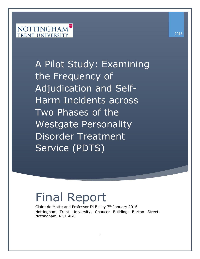# **NOTTINGHAM TRENT UNIVERSITY**

A Pilot Study: Examining the Frequency of Adjudication and Self-Harm Incidents across Two Phases of the Westgate Personality Disorder Treatment Service (PDTS)

# Final Report

Claire de Motte and Professor Di Bailey  $7<sup>th</sup>$  January 2016 Nottingham Trent University, Chaucer Building, Burton Street, Nottingham, NG1 4BU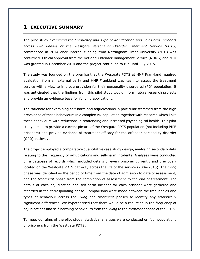#### <span id="page-1-0"></span>**1 EXECUTIVE SUMMARY**

The pilot study *Examining the Frequency and Type of Adjudication and Self-Harm Incidents across Two Phases of the Westgate Personality Disorder Treatment Service (PDTS)* commenced in 2014 once internal funding from Nottingham Trent University (NTU) was confirmed. Ethical approval from the National Offender Management Service (NOMS) and NTU was granted in December 2014 and the project continued to run until July 2015.

The study was founded on the premise that the Westgate PDTS at HMP Frankland required evaluation from an external party and HMP Frankland was keen to assess the treatment service with a view to improve provision for their personality disordered (PD) population. It was anticipated that the findings from this pilot study would inform future research projects and provide an evidence base for funding applications.

The rationale for examining self-harm and adjudications in particular stemmed from the high prevalence of these behaviours in a complex PD population together with research which links these behaviours with reductions in reoffending and increased psychological health. This pilot study aimed to provide a current picture of the Westgate PDTS population (not including PIPE prisoners) and provide evidence of treatment efficacy for the offender personality disorder (OPD) pathway.

The project employed a comparative quantitative case study design, analysing secondary data relating to the frequency of adjudications and self-harm incidents. Analyses were conducted on a database of records which included details of every prisoner currently and previously located on the Westgate PDTS pathway across the life of the service (2004-2015). The *living* phase was identified as the period of time from the date of admission to date of assessment, and the *treatment* phase from the completion of assessment to the end of treatment. The details of each adjudication and self-harm incident for each prisoner were gathered and recorded in the corresponding phase. Comparisons were made between the frequencies and types of behaviour across the *living* and *treatment* phases to identify any statistically significant differences. We hypothesised that there would be a reduction in the frequency of adjudications and self-harming behaviours from the *living* to the *treatment* phase of the PDTS.

To meet our aims of the pilot study, statistical analyses were conducted on four populations of prisoners from the Westgate PDTS: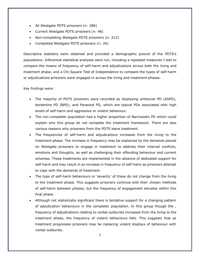- All Westgate PDTS prisoners (n: 286)
- Current Westgate PDTS prisoners (n: 48)
- Non-completing Westgate PDTS prisoners (n: 212)
- Completed Westgate PDTS prisoners (n: 26)

Descriptive statistics were obtained and provided a demographic picture of the PDTS's populations. Inferential statistical analyses were run, including a repeated measures *t* test to compare the means of frequency of self-harm and adjudications across both the living and *treatment* phase, and a Chi-Square Test of Independence to compare the types of self-harm or adjudications prisoners were engaged in across the *living* and *treatment* phases.

#### Key findings were:

- The majority of PDTS prisoners were recorded as displaying antisocial PD (ASPD), borderline PD (BPD), and Paranoid PD, which are typical PDs associated with high levels of self-harm and aggressive or violent behaviour.
- The non-completer population had a higher proportion of Narcissistic PD which could explain why this group do not complete the treatment framework. There are also various reasons why prisoners from the PDTS leave treatment.
- The frequencies of self-harm and adjudications increases from the *living* to the *treatment* phase. The increase in frequency may be explained by the demands placed on Westgate prisoners to engage in treatment to address their internal conflicts, emotions and thoughts, as well as challenging their offending behaviour and current schemas. These treatments are implemented in the absence of dedicated support for self-harm and may result in an increase in frequency of self-harm as prisoners attempt to cope with the demands of treatment.
- The type of self-harm behaviours or 'severity' of these do not change from the *living* to the *treatment* phase. This suggests prisoners continue with their chosen methods of self-harm between *phases*, but the frequency of engagement elevates within this final phase.
- Although not statistically significant there is tentative support for a changing pattern of adjudication behaviours in the completer population. In this group though the , frequency of adjudications relating to verbal outbursts increases from the *living* to the *treatment* phase, the frequency of violent behaviours falls. This suggests that as treatment progresses prisoners may be replacing violent displays of behaviour with verbal outbursts.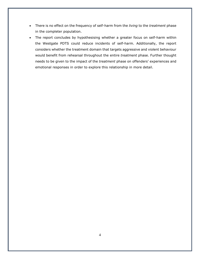- There is no effect on the frequency of self-harm from the *living* to the *treatment* phase in the completer population.
- The report concludes by hypothesising whether a greater focus on self-harm within the Westgate PDTS could reduce incidents of self-harm. Additionally, the report considers whether the treatment domain that targets aggressive and violent behaviour would benefit from rehearsal throughout the entire *treatment* phase. Further thought needs to be given to the impact of the *treatment* phase on offenders' experiences and emotional responses in order to explore this relationship in more detail.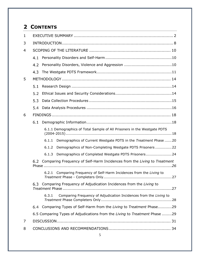# **2 CONTENTS**

| 1 |                                                                                 |  |  |
|---|---------------------------------------------------------------------------------|--|--|
| 3 |                                                                                 |  |  |
| 4 |                                                                                 |  |  |
|   | 4.1                                                                             |  |  |
|   | 4.2                                                                             |  |  |
|   | 4.3                                                                             |  |  |
| 5 |                                                                                 |  |  |
|   | 5.1                                                                             |  |  |
|   | 5.2                                                                             |  |  |
|   | 5.3                                                                             |  |  |
|   | 5.4                                                                             |  |  |
| 6 |                                                                                 |  |  |
|   | 6.1                                                                             |  |  |
|   | 6.1.1 Demographics of Total Sample of All Prisoners in the Westgate PDTS        |  |  |
|   | Demographics of Current Westgate PDTS in the Treatment Phase  20<br>6.1.1       |  |  |
|   | Demographics of Non-Completing Westgate PDTS Prisoners  22<br>6.1.2             |  |  |
|   | Demographics of Completed Westgate PDTS Prisoners 24<br>6.1.3                   |  |  |
|   | Comparing Frequency of Self-Harm Incidences from the Living to Treatment<br>6.2 |  |  |
|   | Comparing Frequency of Self-Harm Incidences from the Living to<br>6.2.1<br>27   |  |  |
|   | Comparing Frequency of Adjudication Incidences from the Living to<br>6.3        |  |  |
|   | Comparing Frequency of Adjudication Incidences from the Living to<br>6.3.1      |  |  |
|   | Comparing Types of Self-Harm from the Living to Treatment Phase29<br>6.4        |  |  |
|   | 6.5 Comparing Types of Adjudications from the Living to Treatment Phase 29      |  |  |
| 7 |                                                                                 |  |  |
| 8 |                                                                                 |  |  |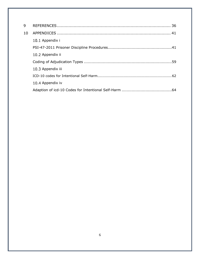| 9  |                   |
|----|-------------------|
| 10 |                   |
|    | 10.1 Appendix i   |
|    |                   |
|    | 10.2 Appendix ii  |
|    |                   |
|    | 10.3 Appendix iii |
|    |                   |
|    | 10.4 Appendix iv  |
|    |                   |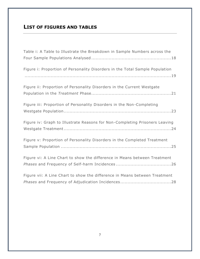## **LIST OF FIGURES AND TABLES**

| Table i: A Table to Illustrate the Breakdown in Sample Numbers across the    |
|------------------------------------------------------------------------------|
| Figure i: Proportion of Personality Disorders in the Total Sample Population |
| Figure ii: Proportion of Personality Disorders in the Current Westgate       |
| Figure iii: Proportion of Personality Disorders in the Non-Completing        |
| Figure iv: Graph to Illustrate Reasons for Non-Completing Prisoners Leaving  |
| Figure v: Proportion of Personality Disorders in the Completed Treatment     |
| Figure vi: A Line Chart to show the difference in Means between Treatment    |
| Figure vii: A Line Chart to show the difference in Means between Treatment   |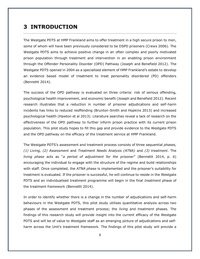## <span id="page-7-0"></span>**3 INTRODUCTION**

The Westgate PDTS at HMP Frankland aims to offer treatment in a high secure prison to men, some of whom will have been previously considered to be DSPD prisoners (Crews 2006). The Westgate PDTS aims to achieve positive change in an often complex and poorly motivated prison population through treatment and intervention in an enabling prison environment through the Offender Personality Disorder (OPD) Pathway (Joseph and Benefield 2012). The Westgate PDTS opened in 2004 as a specialised element of HMP Frankland's estate to develop an evidence based model of treatment to treat personality disordered (PD) offenders (Bennettt 2014).

The success of the OPD pathway is evaluated on three criteria: risk of serious offending, psychological health improvement, and economic benefit (Joseph and Benefield 2012). Recent research illustrates that a reduction in number of prisoner adjudications and self-harm incidents has links to reduced reoffending (Brunton-Smith and Hopkins 2013) and increased psychological health (Hawton et al 2013). Literature searches reveal a lack of research on the effectiveness of the OPD pathway to further inform prison practice with its current prison population. This pilot study hopes to fill this gap and provide evidence to the Westgate PDTS and the OPD pathway on the efficacy of the treatment service at HMP Frankland.

The Westgate PDTS's assessment and treatment process consists of three sequential *phases, (1) Living, (2) Assessment* and *Treatment Needs Analysis (ATNA)* and *(3) treatment*. The *living phase* acts as "*a period of adjustment for the prisoner*" (Bennettt 2014, p. 6) encouraging the individual to engage with the structure of the regime and build relationships with staff. Once completed, the *ATNA phase* is implemented and the prisoner's suitability for treatment is evaluated. If the prisoner is successful, he will continue to reside in the Westgate PDTS and an individualised treatment programme will begin in the final *treatment* phase of the treatment framework (Bennettt 2014).

In order to identify whether there is a change in the number of adjudications and self-harm behaviours in the Westgate PDTS, this pilot study utilises quantitative analysis across two phases of the assessment and treatment process; the *living* and *treatment* phases. The findings of this research study will provide insight into the current efficacy of the Westgate PDTS and will be of value to Westgate staff as an emerging picture of adjudications and selfharm across the Unit's treatment framework. The findings of this pilot study will provide a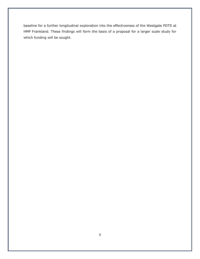baseline for a further longitudinal exploration into the effectiveness of the Westgate PDTS at HMP Frankland. These findings will form the basis of a proposal for a larger scale study for which funding will be sought.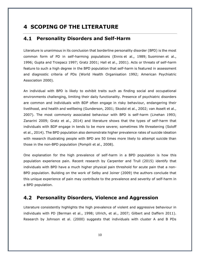## <span id="page-9-0"></span>**4 SCOPING OF THE LITERATURE**

#### <span id="page-9-1"></span> $4.1$ **Personality Disorders and Self-Harm**

Literature is unanimous in its conclusion that borderline personality disorder (BPD) is the most common form of PD in self-harming populations (Ennis [et al., 1989;](http://bjp.rcpsych.org/content/178/1/48#ref-5) [Suominen](http://bjp.rcpsych.org/content/178/1/48#ref-19) et al., [1996;](http://bjp.rcpsych.org/content/178/1/48#ref-19) Gupta and [Trzepacz 1997;](http://bjp.rcpsych.org/content/178/1/48#ref-9) Gratz 2001; Hall et al., 2001). Acts or threats of self-harm feature to such a high degree in the BPD population that self-harm is featured in assessment and diagnostic criteria of PDs (World Health Organisation 1992; American Psychiatric Association 2000).

An individual with BPD is likely to exhibit traits such as finding social and occupational environments challenging, limiting their daily functionality. Presence of psychiatric disorders are common and individuals with BDP often engage in risky behaviour, endangering their livelihood, and health and wellbeing (Gunderson, 2001; Skodol et al., 2002; van Asselt et al., 2007). The most commonly associated behaviour with BPD is self-harm (Linehan 1993; Zanarini 2009; Gratz et al., 2014) and literature shows that the types of self-harm that individuals with BDP engage in tends to be more severe; sometimes life threatening (Soloff et al., 2014). The BPD population also demonstrate higher prevalence rates of suicide ideation with research illustrating people with BPD are 50 times more likely to attempt suicide than those in the non-BPD population (Pompili et al., 2008).

One explanation for the high prevalence of self-harm in a BPD population is how this population experience pain. Recent research by Carpenter and Trull (2015) identify that individuals with BPD have a much higher physical pain threshold for acute pain that a non-BPD population. Building on the work of Selby and Joiner (2009) the authors conclude that this unique experience of pain may contribute to the prevalence and severity of self-harm in a BPD population.

#### <span id="page-9-2"></span>**Personality Disorders, Violence and Aggression**

Literature consistently highlights the high prevalence of violent and aggressive behaviour in individuals with PD (Berman et al., 1998; Ullrich, et al., 2007; Gilbert and Daffern 2011). Research by Johnson et al. (2000) suggests that individuals with cluster A and B PDs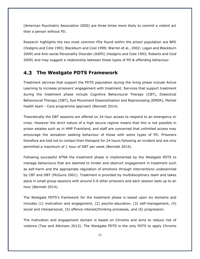(American Psychiatric Association 2000) are three times more likely to commit a violent act than a person without PD.

Research highlights the two most common PDs found within the prison population are BPD (Hodgins and Cote 1993; Blackburn and Coid 1999; Warren et al., 2002; Logan and Blackburn 2009) and Anti-social Personality Disorder (ASPD) (Hodgins and Cote 1993; Roberts and Coid 2009) and may suggest a relationship between these types of PD & offending behaviour.

#### <span id="page-10-0"></span>**The Westgate PDTS Framework**

Treatment services that support the PDTS population during the *living phase* include Active Learning to increase prisoners' engagement with treatment. Services that support treatment during the *treatment* phase include Cognitive Behavioural Therapy (CBT), Dialectical Behavioural Therapy (DBT), Eye Movement Desensitisation and Reprocessing (EMDR), Mental health team - Care programme approach (Bennett 2014).

Theoretically the DBT sessions are offered on 24 hour access to respond to an emergency or crisis. However the strict nature of a high secure regime means that this is not possible in prison estates such as in HMP Frankland, and staff are concerned that unlimited access may encourage the sensation seeking behaviour of those with some types of PD. Prisoners therefore are told not to contact their therapist for 24 hours following an incident and are only permitted a maximum of 1 hour of DBT per week (Bennett 2014).

Following successful ATNA the *treatment* phase is implemented by the Westgate PDTS to manage behaviours that are deemed to hinder and obstruct engagement in treatment such as self-harm and the appropriate regulation of emotions through interventions underpinned by CBT and DBT (McGuire 2001). Treatment is provided by multidisciplinary team and takes place in small group sessions with around 5-6 other prisoners and each session lasts up to an hour (Bennett 2014).

The Westgate PDTS's framework for the *treatment* phase is based upon six domains and includes (1) motivation and engagement, (2) psycho-education, (3) self-management, (4) social and interpersonal, (5) offence interest/thinking processes, and (6) progression.

The motivation and engagement domain is based on Chromis and aims to reduce risk of violence (Tew and Atkinson 2013). The Westgate PDTS is the only PDTS to apply Chromis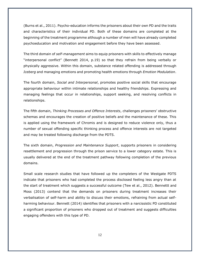(Burns et al., 2011). Psycho-education informs the prisoners about their own PD and the traits and characteristics of their individual PD. Both of these domains are completed at the beginning of the treatment programme although a number of men will have already completed psychoeducation and motivation and engagement before they have been assessed.

The third domain of *self-management* aims to equip prisoners with skills to effectively manage "interpersonal conflict" (Bennett 2014, p.19) so that they refrain from being verbally or physically aggressive. Within this domain, substance related offending is addressed through *Iceberg* and managing emotions and promoting health emotions through *Emotion Modulation*.

The fourth domain, *Social and Interpersonal*, promotes positive social skills that encourage appropriate behaviour within intimate relationships and healthy friendships. Expressing and managing feelings that occur in relationships, support seeking, and resolving conflicts in relationships.

The fifth domain, *Thinking Processes and Offence Interests*, challenges prisoners' obstructive schemas and encourages the creation of positive beliefs and the maintenance of these. This is applied using the framework of Chromis and is designed to reduce violence only, thus a number of sexual offending specific thinking process and offence interests are not targeted and may be treated following discharge from the PDTS.

The sixth domain, *Progression and Maintenance Support*, supports prisoners in considering resettlement and progression through the prison service to a lower category estate. This is usually delivered at the end of the treatment pathway following completion of the previous domains.

Small scale research studies that have followed up the completers of the Westgate PDTS indicate that prisoners who had completed the process disclosed feeling less angry than at the start of treatment which suggests a successful outcome (Tew et al., 2012). Bennettt and Moss (2013) contend that the demands on prisoners during treatment increases their verbalisation of self-harm and ability to discuss their emotions, refraining from actual selfharming behaviour. Bennett (2014) identifies that prisoners with a narcissistic PD constituted a significant proportion of prisoners who dropped out of treatment and suggests difficulties engaging offenders with this type of PD.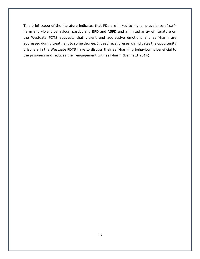This brief scope of the literature indicates that PDs are linked to higher prevalence of selfharm and violent behaviour, particularly BPD and ASPD and a limited array of literature on the Westgate PDTS suggests that violent and aggressive emotions and self-harm are addressed during treatment to some degree. Indeed recent research indicates the opportunity prisoners in the Westgate PDTS have to discuss their self-harming behaviour is beneficial to the prisoners and reduces their engagement with self-harm (Bennettt 2014).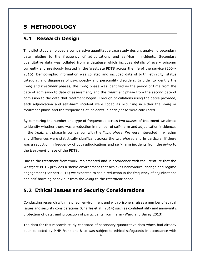## <span id="page-13-0"></span>**5 METHODOLOGY**

#### <span id="page-13-1"></span>**5.1 Research Design**

This pilot study employed a comparative quantitative case study design, analysing secondary data relating to the frequency of adjudications and self-harm incidents. Secondary quantitative data was collated from a database which includes details of every prisoner currently and previously located in the Westgate PDTS across the life of the service (2004- 2015). Demographic information was collated and included date of birth, ethnicity, status category, and diagnoses of psychopathy and personality disorders. In order to identify the *living* and *treatment* phases, the *living* phase was identified as the period of time from the date of admission to date of assessment, and the *treatment* phase from the second date of admission to the date that treatment began. Through calculations using the dates provided, each adjudication and self-harm incident were coded as occurring in either the *living* or *treatment* phase and the frequencies of incidents in each *phase* were calculated.

By comparing the number and type of frequencies across two *phase*s of treatment we aimed to identify whether there was a reduction in number of self-harm and adjudication incidences in the *treatment* phase in comparison with the *living phase*. We were interested in whether any differences were statistically significant across the two *phase*s and in particular if there was a reduction in frequency of both adjudications and self-harm incidents from the *living* to the *treatment* phase of the PDTS.

Due to the treatment framework implemented and in accordance with the literature that the Westgate PDTS provides a stable environment that achieves behavioural change and regime engagement (Bennett 2014) we expected to see a reduction in the frequency of adjudications and self-harming behaviour from the *living* to the *treatment* phase.

## <span id="page-13-2"></span>**Ethical Issues and Security Considerations**

Conducting research within a prison environment and with prisoners raises a number of ethical issues and security considerations (Charles et al., 2014) such as confidentiality and anonymity, protection of data, and protection of participants from harm (Ward and Bailey 2013).

The data for this research study consisted of secondary quantitative data which had already been collected by MHP Frankland & so was subject to ethical safeguards in accordance with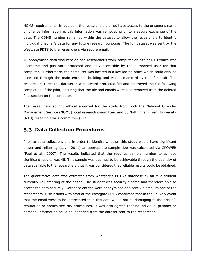NOMS requirements. In addition, the researchers did not have access to the prisoner's name or offence information as this information was removed prior to a secure exchange of the data. The CDMS number remained within the dataset to allow the researchers to identify individual prisoner's data for any future research purposes. The full dataset was sent by the Westgate PDTS to the researchers via secure email.

All anonymised data was kept on one researcher's work computer on site at NTU which was username and password protected and only accessible by the authorised user for that computer. Furthermore, the computer was located in a key locked office which could only be accessed through the main entrance building and via a smartcard system for staff. The researcher stored the dataset in a password protected file and destroyed the file following completion of the pilot, ensuring that the file and emails were also removed from the deleted files section on the computer.

The researchers sought ethical approval for the study from both the National Offender Management Service (NOMS) local research committee, and by Nottingham Trent University (NTU) research ethics committee (REC).

#### <span id="page-14-0"></span>**Data Collection Procedures**

Prior to data collection, and in order to identify whether this study would have significant power and reliability (Levin 2011) an appropriate sample size was calculated via GPOWER (Faul et al., 2007). The results indicated that the required sample number to achieve significant results was 45. This sample was deemed to be achievable through the quantity of data available to the researchers thus it was considered that reliable results could be obtained.

The quantitative data was extracted from Westgate's PDTS's database by an MSc student currently volunteering at the prison. The student was security cleared and therefore able to access the data securely. Database entries were anonymised and sent via email to one of the researchers. Discussions with staff at the Westgate PDTS confirmed that in the unlikely event that the email were to be intercepted then this data would not be damaging to the prison's reputation or breach security procedures. It was also agreed that no individual prisoner or personal information could be identified from the dataset sent to the researcher.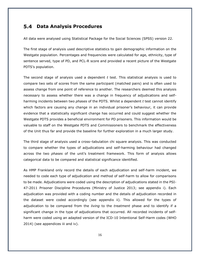#### <span id="page-15-0"></span>**Data Analysis Procedures**

All data were analysed using Statistical Package for the Social Sciences (SPSS) version 22.

The first stage of analysis used descriptive statistics to gain demographic information on the Westgate population. Percentages and frequencies were calculated for age, ethnicity, type of sentence served, type of PD, and PCL-R score and provided a recent picture of the Westgate PDTS's population.

The second stage of analysis used a dependent *t* test. This statistical analysis is used to compare two sets of scores from the same participant (matched pairs) and is often used to assess change from one point of reference to another. The researchers deemed this analysis necessary to assess whether there was a change in frequency of adjudications and selfharming incidents between two *phases* of the PDTS. Whilst a dependent *t* test cannot identify which factors are causing any change in an individual prisoner's behaviour, it can provide evidence that a statistically significant change has occurred and could suggest whether the Westgate PDTS provides a beneficial environment for PD prisoners. This information would be valuable to staff on the Westgate PDTS and Commissioners to benchmark the effectiveness of the Unit thus far and provide the baseline for further exploration in a much larger study.

The third stage of analysis used a cross–tabulation chi square analysis. This was conducted to compare whether the types of adjudications and self-harming behaviour had changed across the two *phases* of the unit's treatment framework. This form of analysis allows categorical data to be compared and statistical significance identified.

As HMP Frankland only record the details of each adjudication and self-harm incident, we needed to code each type of adjudication and method of self-harm to allow for comparisons to be made. Adjudications were coded using the description of adjudications stated in the PSI-47-2011 Prisoner Discipline Procedures (Ministry of Justice 2013; see appendix i). Each adjudication was provided with a coding number and the details of adjudication recorded in the dataset were coded accordingly (see appendix ii). This allowed for the types of adjudication to be compared from the *living* to the *treatment* phase and to identify if a significant change in the type of adjudications that occurred. All recorded incidents of selfharm were coded using an adapted version of the ICD-10 Intentional Self-Harm codes (WHO 2014) (see appendices iii and iv).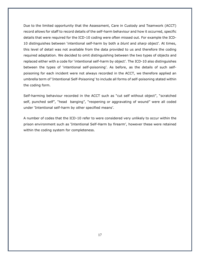Due to the limited opportunity that the Assessment, Care in Custody and Teamwork (ACCT) record allows for staff to record details of the self-harm behaviour and how it occurred, specific details that were required for the ICD-10 coding were often missed out. For example the ICD-10 distinguishes between 'intentional self-harm by both a *blunt* and *sharp* object'. At times, this level of detail was not available from the data provided to us and therefore the coding required adaptation. We decided to omit distinguishing between the two types of objects and replaced either with a code for 'intentional self-harm by object'. The ICD-10 also distinguishes between the types of 'intentional self-poisoning'. As before, as the details of such selfpoisoning for each incident were not always recorded in the ACCT, we therefore applied an umbrella term of 'Intentional Self-Poisoning' to include all forms of self-poisoning stated within the coding form.

Self-harming behaviour recorded in the ACCT such as "cut self without object", "scratched self, punched self", "head banging", "reopening or aggravating of wound" were all coded under 'Intentional self-harm by other specified means'.

A number of codes that the ICD-10 refer to were considered very unlikely to occur within the prison environment such as 'Intentional Self-Harm by firearm', however these were retained within the coding system for completeness.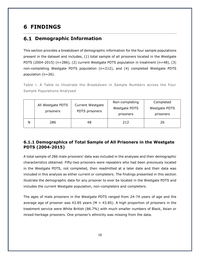# <span id="page-17-0"></span>**6 FINDINGS**

#### <span id="page-17-1"></span>**6.1 Demographic Information**

This section provides a breakdown of demographic information for the four sample populations present in the dataset and includes, (1) total sample of all prisoners located in the Westgate PDTS (2004-2015) (n=286), (2) current Westgate PDTS population in treatment (n=48), (3) non-completing Westgate PDTS population (n=212), and (4) completed Westgate PDTS population (n=26).

<span id="page-17-3"></span>Table i: A Table to Illustrate the Breakdown in Sample Numbers across the Four Sample Populations Analysed

|   | All Westgate PDTS<br>prisoners | <b>Current Westgate</b><br>PDTS prisoners | Non-completing<br>Westgate PDTS<br>prisoners | Completed<br>Westgate PDTS<br>prisoners |
|---|--------------------------------|-------------------------------------------|----------------------------------------------|-----------------------------------------|
| N | 286                            | 48                                        | 212                                          | 26                                      |

#### <span id="page-17-2"></span>**6.1.1 Demographics of Total Sample of All Prisoners in the Westgate PDTS (2004-2015)**

A total sample of 286 male prisoners' data was included in the analyses and their demographic characteristics obtained. Fifty-two prisoners were repeaters who had been previously located in the Westgate PDTS, not completed, then readmitted at a later date and their data was included in this analysis as either current or completers. The findings presented in this section illustrate the demographic data for any prisoner to ever be located in the Westgate PDTS and includes the current Westgate population, non-completers and completers.

The ages of male prisoners in the Westgate PDTS ranged from 24-74 years of age and the average age of prisoner was 43.85 years ( $M = 43.85$ ). A high proportion of prisoners in the treatment service were White British (86.7%) with much smaller numbers of Black, Asian or mixed-heritage prisoners. One prisoner's ethnicity was missing from the data.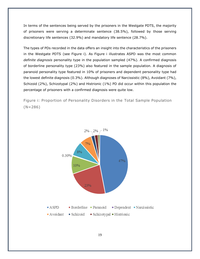In terms of the sentences being served by the prisoners in the Westgate PDTS, the majority of prisoners were serving a determinate sentence (38.5%), followed by those serving discretionary life sentences (32.9%) and mandatory life sentence (28.7%).

The types of PDs recorded in the data offers an insight into the characteristics of the prisoners in the Westgate PDTS (see Figure i). As Figure i illustrates ASPD was the most common *definite diagnosis* personality type in the population sampled (47%). A confirmed diagnosis of borderline personality type (23%) also featured in the sample population. A diagnosis of paranoid personality type featured in 10% of prisoners and dependent personality type had the lowest definite diagnosis (0.3%). Although diagnoses of Narcissistic (8%), Avoidant (7%), Schizoid (2%), Schizotypal (2%) and Histrionic (1%) PD did occur within this population the percentage of prisoners with a confirmed diagnosis were quite low.

<span id="page-18-0"></span>Figure i: Proportion of Personality Disorders in the Total Sample Population  $(N=286)$ 

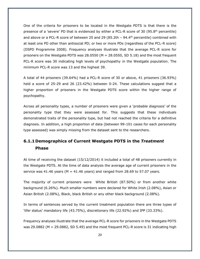One of the criteria for prisoners to be located in the Westgate PDTS is that there is the presence of a 'severe' PD that is evidenced by either a PCL-R score of 30 (95.8<sup>th</sup> percentile) and above or a PCL-R score of between 25 and 29 (85.2th  $-$  94.4<sup>th</sup> percentile) combined with at least one PD other than antisocial PD; or two or more PDs (regardless of the PCL-R score) (DSPD Programme 2008). Frequency analyses illustrate that the average PCL-R score for prisoners on the Westgate PDTS was 28.0550 ( $M = 28.0550$ , SD 5.18) and the most frequent PCL-R score was 30 indicating high levels of psychopathy in the Westgate population. The minimum PCL-R score was 13 and the highest 39.

A total of 44 prisoners (39.64%) had a PCL-R score of 30 or above, 41 prisoners (36.93%) held a score of 25-29 and 26 (23.42%) between 0-24. These calculations suggest that a higher proportion of prisoners in the Westgate PDTS score within the higher range of psychopathy.

Across all personality types, a number of prisoners were given a 'probable diagnosis' of the personality type that they were assessed for. This suggests that these individuals demonstrated traits of the personality type, but had not reached the criteria for a definitive diagnosis. In addition, a high proportion of data (between 99-101 cases for each personality type assessed) was simply missing from the dataset sent to the researchers.

## <span id="page-19-0"></span>**6.1.1 Demographics of Current Westgate PDTS in the** *Treatment* **Phase**

At time of receiving the dataset (15/12/2014) it included a total of 48 prisoners currently in the Westgate PDTS. At the time of data analysis the average age of current prisoners in the service was 41.46 years ( $M = 41.46$  years) and ranged from 28.69 to 57.07 years.

The majority of current prisoners were White British (87.50%) or from another white background (6.26%). Much smaller numbers were declared for White Irish (2.08%), Asian or Asian British (2.08%), Black, black British or any other black background (2.08%).

In terms of sentences served by the current treatment population there are three types of 'lifer status' mandatory life (43.75%), discretionary life (22.92%) and IPP (33.33%).

Frequency analyses illustrate that the average PCL-R score for prisoners in the Westgate PDTS was 29.0882 (M = 29.0882, SD 5.49) and the most frequent PCL-R score is 31 indicating high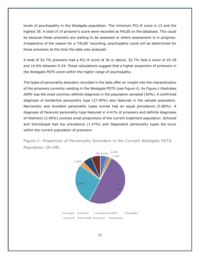levels of psychopathy in the Westgate population. The minimum PCL-R score is 13 and the highest 38. A total of 14 prisoner's score were recorded as FALSE on the database. This could be because these prisoners are waiting to be assessed or where assessment is in progress. Irrespective of the reason for a 'FALSE' recording, psychopathy could not be determined for those prisoners at the time the data was analysed .

A total of 52.7% prisoners had a PCL-R score of 30 or above, 32.7% held a score of 25-29 and 14.6% between 0-24. These calculations suggest that a higher proportion of prisoners in the Westgate PDTS score within the higher range of psychopathy.

The types of personality disorders recorded in the data offer an insight into the characteristics of the prisoners currently residing in the Westgate PDTS (see Figure ii). As Figure ii illustrates ASPD was the most common *definite diagnosis* in the population sampled (50%). A confirmed diagnosis of borderline personality type (27.94%) also featured in the sample population. Narcissistic and Avoidant personality types scored had an equal prevalence (5.88%). A diagnosis of Paranoid personality type featured in 4.41% of prisoners and definite diagnoses of Histrionic (2.95%) covered small proportions of the current treatment population. Schizoid and Schizotypal had low prevalence (1.47%) and Dependent personality types did occur within the current population of prisoners.

<span id="page-20-0"></span>Figure ii: Proportion of Personality Disorders in the Current Westgate PDTS Population (N=48)

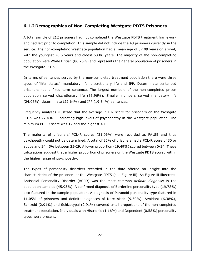#### <span id="page-21-0"></span>**6.1.2 Demographics of Non-Completing Westgate PDTS Prisoners**

A total sample of 212 prisoners had not completed the Westgate PDTS treatment framework and had left prior to completion. This sample did not include the 48 prisoners currently in the service. The non-completing Westgate population had a mean age of 37.09 years on arrival, with the youngest 20.6 years and oldest 63.06 years. The majority of the non-completing population were White British (86.26%) and represents the general population of prisoners in the Westgate PDTS.

In terms of sentences served by the non-completed treatment population there were three types of 'lifer status', mandatory life, discretionary life and IPP. Determinate sentenced prisoners had a fixed term sentence. The largest numbers of the non-completed prison population served discretionary life (33.96%). Smaller numbers served mandatory life (24.06%), determinate (22.64%) and IPP (19.34%) sentences.

Frequency analyses illustrate that the average PCL-R score for prisoners on the Westgate PDTS was 27.43611 indicating high levels of psychopathy in the Westgate population. The minimum PCL-R score was 12 and the highest 40.

The majority of prisoners' PCL-R scores (31.06%) were recorded as FALSE and thus psychopathy could not be determined. A total of 25% of prisoners had a PCL-R score of 30 or above and 24.45% between 25-29. A lower proportion (19.49%) scored between 0-24. These calculations suggest that a higher proportion of prisoners on the Westgate PDTS scored within the higher range of psychopathy.

The types of personality disorders recorded in the data offered an insight into the characteristics of the prisoners at the Westgate PDTS (see Figure iii). As Figure iii illustrates Antisocial Personality Disorder (ASPD) was the most common *definite diagnosis* in the population sampled (45.93%). A confirmed diagnosis of Borderline personality type (19.78%) also featured in the sample population. A diagnosis of Paranoid personality type featured in 11.05% of prisoners and definite diagnoses of Narcissistic (9.30%), Avoidant (6.38%), Schizoid (2.91%) and Schizotypal (2.91%) covered small proportions of the non-completed treatment population. Individuals with Histrionic (1.16%) and Dependent (0.58%) personality types were present.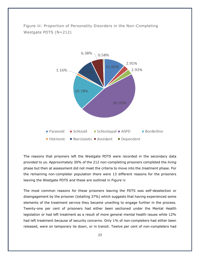

<span id="page-22-0"></span>Figure iii: Proportion of Personality Disorders in the Non-Completing Westgate PDTS (N=212)

The reasons that prisoners left the Westgate PDTS were recorded in the secondary data provided to us. Approximately 30% of the 212 non-completing prisoners completed the *living* phase but then at assessment did not meet the criteria to move into the *treatment* phase. For the remaining non-completer population there were 13 different reasons for the prisoners leaving the Westgate PDTS and these are outlined in Figure iv

The most common reasons for these prisoners leaving the PDTS was self-deselection or disengagement by the prisoner (totalling 37%) which suggests that having experienced some elements of the treatment service they became unwilling to engage further in the process. Twenty-one per cent of prisoners had either been sectioned under the Mental Health legislation or had left treatment as a result of more general mental health issues while 12% had left treatment because of security concerns. Only 1% of non-completers had either been released, were on temporary lie down, or in transit. Twelve per cent of non-completers had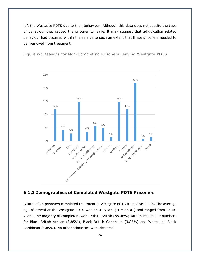left the Westgate PDTS due to their behaviour. Although this data does not specify the type of behaviour that caused the prisoner to leave, it may suggest that adjudication related behaviour had occurred within the service to such an extent that these prisoners needed to be removed from treatment.

<span id="page-23-1"></span>Figure iv: Reasons for Non-Completing Prisoners Leaving Westgate PDTS



#### <span id="page-23-0"></span>**6.1.3 Demographics of Completed Westgate PDTS Prisoners**

A total of 26 prisoners completed treatment in Westgate PDTS from 2004-2015. The average age of arrival at the Westgate PDTS was  $36.01$  years (M =  $36.01$ ) and ranged from 25-50 years. The majority of completers were White British (88.46%) with much smaller numbers for Black British African (3.85%), Black British Caribbean (3.85%) and White and Black Caribbean (3.85%). No other ethnicities were declared.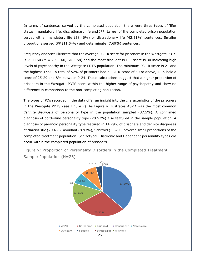In terms of sentences served by the completed population there were three types of 'lifer status', mandatory life, discretionary life and IPP. Large of the completed prison population served either mandatory life (38.46%) or discretionary life (42.31%) sentences. Smaller proportions served IPP (11.54%) and determinate (7.69%) sentences.

Frequency analyses illustrate that the average PCL-R score for prisoners in the Westgate PDTS is 29.1160 ( $M = 29.1160$ , SD 3.58) and the most frequent PCL-R score is 30 indicating high levels of psychopathy in the Westgate PDTS population. The minimum PCL-R score is 21 and the highest 37.90. A total of 52% of prisoners had a PCL-R score of 30 or above, 40% held a score of 25-29 and 8% between 0-24. These calculations suggest that a higher proportion of prisoners in the Westgate PDTS score within the higher range of psychopathy and show no difference in comparison to the non-completing population.

The types of PDs recorded in the data offer an insight into the characteristics of the prisoners in the Westgate PDTS (see Figure v). As Figure  $v$  illustrates ASPD was the most common *definite diagnosis* of personality type in the population sampled (37.5%). A confirmed diagnosis of borderline personality type (28.57%) also featured in the sample population. A diagnosis of paranoid personality type featured in 14.29% of prisoners and definite diagnoses of Narcissistic (7.14%), Avoidant (8.93%), Schizoid (3.57%) covered small proportions of the completed treatment population. Schizotypal, Histrionic and Dependent personality types did occur within the completed population of prisoners.

<span id="page-24-0"></span>Figure v: Proportion of Personality Disorders in the Completed Treatment Sample Population (N=26)

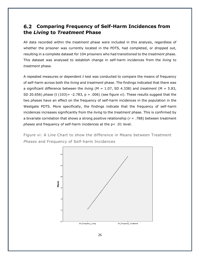#### <span id="page-25-0"></span>**Comparing Frequency of Self-Harm Incidences from the** *Living* **to** *Treatment* **Phase**

All data recorded within the *treatment* phase were included in this analysis, regardless of whether the prisoner was currently located in the PDTS, had completed, or dropped out, resulting in a complete dataset for 104 prisoners who had transitioned to the *treatment* phase. This dataset was analysed to establish change in self-harm incidences from the *living* to *treatment* phase.

A repeated measures or dependent *t* test was conducted to compare the means of frequency of self-harm across both the *living* and *treatment* phase. The findings indicated that there was a significant difference between the *living* (M = 1.07, SD 4.338) and *treatment* (M = 5.83, SD 20.656) *phase* (t (103)= -2.783, p = .006) (see figure vi). These results suggest that the two *phase*s have an effect on the frequency of self-harm incidences in the population in the Westgate PDTS. More specifically, the findings indicate that the frequency of self-harm incidences increases significantly from the *living* to the *treatment* phase. This is confirmed by a bivariate correlation that shows a strong positive relationship (*r* = .788) between treatment *phases* and frequency of self-harm incidences at the p< .01 level.

<span id="page-25-1"></span>Figure vi: A Line Chart to show the difference in Means between Treatment *Phases* and Frequency of Self-harm Incidences

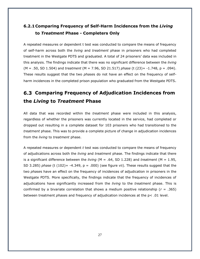## <span id="page-26-0"></span>**6.2.1 Comparing Frequency of Self-Harm Incidences from the** *Living* **to** *Treatment* **Phase - Completers Only**

A repeated measures or dependent t test was conducted to compare the means of frequency of self-harm across both the *living* and *treatment* phase in prisoners who had completed treatment in the Westgate PDTS and graduated. A total of 24 prisoners' data was included in this analysis. The findings indicate that there was no significant difference between the *living* (M = .50, SD 1.504) and *treatment* (M = 7.96, SD 21.517) *phase* (t (23)= -1.748, p = .094). These results suggest that the two *phase*s do not have an effect on the frequency of selfharm incidences in the completed prison population who graduated from the Westgate PDTS.

# <span id="page-26-1"></span>**Comparing Frequency of Adjudication Incidences from the** *Living* **to** *Treatment* **Phase**

All data that was recorded within the *treatment* phase were included in this analysis, regardless of whether the prisoners was currently located in the service, had completed or dropped out resulting in a complete dataset for 103 prisoners who had transitioned to the *treatment* phase. This was to provide a complete picture of change in adjudication incidences from the *living* to *treatment* phase.

A repeated measures or dependent *t* test was conducted to compare the means of frequency of adjudications across both the *living* and *treatment* phase. The findings indicate that there is a significant difference between the *living* (M = .64, SD 1.228) and *treatment* (M = 1.95, SD 3.285) *phase* (t (102)= -4.349, p = .000) (see figure vii). These results suggest that the two *phase*s have an effect on the frequency of incidences of adjudication in prisoners in the Westgate PDTS. More specifically, the findings indicate that the frequency of incidences of adjudications have significantly increased from the *living* to the *treatment* phase. This is confirmed by a bivariate correlation that shows a medium positive relationship (*r* = .365) between treatment *phase*s and frequency of adjudication incidences at the p< .01 level.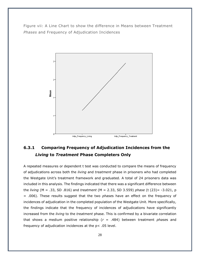<span id="page-27-1"></span>Figure vii: A Line Chart to show the difference in Means between Treatment *Phases* and Frequency of Adjudication Incidences



## <span id="page-27-0"></span>**6.3.1 Comparing Frequency of Adjudication Incidences from the**  *Living* **to** *Treatment* **Phase Completers Only**

A repeated measures or dependent t test was conducted to compare the means of frequency of adjudications across both the *living* and *treatment* phase in prisoners who had completed the Westgate Unit's treatment framework and graduated. A total of 24 prisoners data was included in this analysis. The findings indicated that there was a significant difference between the *living* (M = .33, SD .816) and *treatment* (M = 2.33, SD 3.559) *phase* (t (23)= -3.021, p = .006). These results suggest that the two *phase*s have an effect on the frequency of incidences of adjudication in the completed population of the Westgate Unit. More specifically, the findings indicate that the frequency of incidences of adjudications have significantly increased from the *living* to the *treatment* phase. This is confirmed by a bivariate correlation that shows a medium positive relationship (*r* = .484) between treatment *phase*s and frequency of adjudication incidences at the p< .05 level.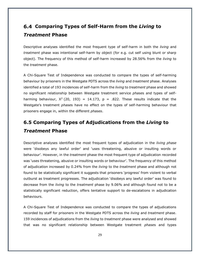# <span id="page-28-0"></span>**Comparing Types of Self-Harm from the** *Living* **to** *Treatment* **Phase**

Descriptive analyses identified the most frequent type of self-harm in both the *living* and *treatment* phase was intentional self-harm by object (for e.g. cut self using blunt or sharp object). The frequency of this method of self-harm increased by 28.56% from the *living* to the *treatment* phase.

A Chi-Square Test of Independence was conducted to compare the types of self-harming behaviour by prisoners in the Westgate PDTS across the *living* and *treatment* phase. Analyses identified a total of 193 incidences of self-harm from the *living* to *treatment* phase and showed no significant relationship between Westgate treatment service *phase*s and types of selfharming behaviour,  $X^2$  (20, 193) = 14.173, p = .822. These results indicate that the Westgate's treatment *phase*s have no effect on the types of self-harming behaviour that prisoners engage in, within the different *phases*.

# <span id="page-28-1"></span>**6.5 Comparing Types of Adjudications from the** *Living* **to** *Treatment* **Phase**

Descriptive analyses identified the most frequent types of adjudication in the *living phase* were 'disobeys any lawful order' and 'uses threatening, abusive or insulting words or behaviour'. However, in the *treatment* phase the most frequent type of adjudication recorded was 'uses threatening, abusive or insulting words or behaviour'. The frequency of this method of adjudication increased by 0.24% from the *living* to the *treatment* phase and although not found to be statistically significant it suggests that prisoners 'progress' from violent to verbal outburst as treatment progresses. The adjudication 'disobeys any lawful order' was found to decrease from the *living* to the *treatment* phase by 9.06% and although found not to be a statistically significant reduction, offers tentative support to de-escalations in adjudication behaviours.

A Chi-Square Test of Independence was conducted to compare the types of adjudications recorded by staff for prisoners in the Westgate PDTS across the *living* and *treatment* phase. 159 incidences of adjudications from the *living* to *treatment* phase were analysed and showed that was no significant relationship between Westgate treatment *phase*s and types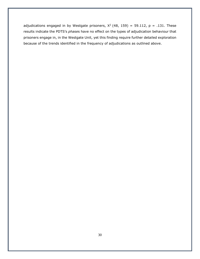adjudications engaged in by Westgate prisoners,  $X^2$  (48, 159) = 59.112, p = .131. These results indicate the PDTS's *phase*s have no effect on the types of adjudication behaviour that prisoners engage in, in the Westgate Unit, yet this finding require further detailed exploration because of the trends identified in the frequency of adjudications as outlined above.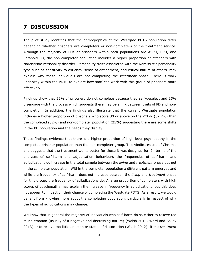## <span id="page-30-0"></span>**7 DISCUSSION**

The pilot study identifies that the demographics of the Westgate PDTS population differ depending whether prisoners are completers or non-completers of the treatment service. Although the majority of PDs of prisoners within both populations are ASPD, BPD, and Paranoid PD, the non-completer population includes a higher proportion of offenders with Narcissistic Personality disorder. Personality traits associated with the Narcissistic personality type such as sensitivity to criticism, sense of entitlement, and critical nature of others, may explain why these individuals are not completing the *treatment* phase. There is work underway within the PDTS to explore how staff can work with this group of prisoners more effectively.

Findings show that 22% of prisoners do not complete because they self-deselect and 15% disengage with the process which suggests there may be a link between traits of PD and noncompletion. In addition, the findings also illustrate that the current Westgate population includes a higher proportion of prisoners who score 30 or above on the PCL-R (52.7%) than the completed (52%) and non-completer population (25%) suggesting there are some shifts in the PD population and the needs they display.

These findings evidence that there is a higher proportion of high level psychopathy in the completed prisoner population than the non-completer group. This vindicates use of Chromis and suggests that the treatment works better for those it was designed for. In terms of the analyses of self-harm and adjudication behaviours the frequencies of self-harm and adjudications do increase in the total sample between the *living* and *treatment* phase but not in the completer population. Within the completer population a different pattern emerges and while the frequency of self-harm does not increase between the *living* and *treatment* phase for this group, the frequency of adjudications do. A large proportion of completers with high scores of psychopathy may explain the increase in frequency in adjudications, but this does not appear to impact on their chance of completing the Westgate PDTS. As a result, we would benefit from knowing more about the completing population, particularly in respect of why the types of adjudications may change.

We know that in general the majority of individuals who self-harm do so either to relieve too much emotion (usually of a negative and distressing nature) (Walsh 2012; Ward and Bailey 2013) or to relieve too little emotion or states of dissociation (Walsh 2012). If the *treatment*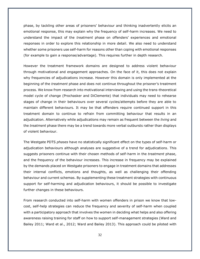phase, by tackling other areas of prisoners' behaviour and thinking inadvertently elicits an emotional response, this may explain why the frequency of self-harm increases. We need to understand the impact of the *treatment* phase on offenders' experiences and emotional responses in order to explore this relationship in more detail. We also need to understand whether some prisoners use self-harm for reasons other than coping with emotional responses (for example to gain a response/advantage). This requires further in depth research.

However the treatment framework domains are designed to address violent behaviour through motivational and engagement approaches. On the face of it, this does not explain why frequencies of adjudications increase. However this domain is only implemented at the beginning of the *treatment* phase and does not continue throughout the prisoner's treatment process. We know from research into motivational interviewing and using the trans-theoretical model cycle of change (Prochasker and DiClemente) that individuals may need to rehearse stages of change in their behaviours over several cycles/attempts before they are able to maintain different behaviours. It may be that offenders require continued support in this treatment domain to continue to refrain from committing behaviour that results in an adjudication. Alternatively while adjudications may remain as frequent between the *living* and the *treatment* phase there may be a trend towards more verbal outbursts rather than displays of violent behaviour.

The Westgate PDTS *phases* have no statistically significant effect on the types of self-harm or adjudication behaviours although analyses are suggestive of a trend for adjudications. This suggests prisoners continue with their chosen methods of self-harm in the *treatment* phase, and the frequency of the behaviour increases. This increase in frequency may be explained by the demands placed on Westgate prisoners to engage in treatment domains that addresses their internal conflicts, emotions and thoughts, as well as challenging their offending behaviour and current schemas. By supplementing these treatment strategies with continuous support for self-harming and adjudication behaviours, it should be possible to investigate further changes in these behaviours.

From research conducted into self-harm with women offenders in prison we know that lowcost, self-help strategies can reduce the frequency and severity of self-harm when coupled with a participatory approach that involves the women in deciding what helps and also offering awareness raising training for staff on how to support self-management strategies (Ward and Bailey 2011; Ward et al., 2012; Ward and Bailey 2013). This approach could be piloted with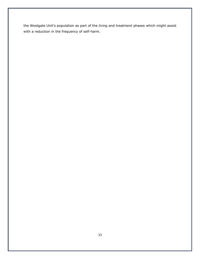the Westgate Unit's population as part of the *living* and *treatment* phases which might assist with a reduction in the frequency of self-harm.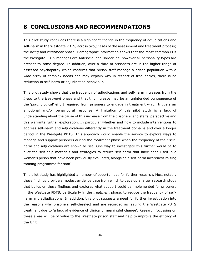## <span id="page-33-0"></span>**8 CONCLUSIONS AND RECOMMENDATIONS**

This pilot study concludes there is a significant change in the frequency of adjudications and self-harm in the Westgate PDTS, across two *phase*s of the assessment and treatment process; the *living* and *treatment* phase. Demographic information shows that the most common PDs the Westgate PDTS manages are Antisocial and Borderline, however all personality types are present to some degree. In addition, over a third of prisoners are in the higher range of assessed psychopathy which confirms that prison staff manage a prison population with a wide array of complex needs and may explain why in respect of frequencies, there is no reduction in self-harm or adjudication behaviour.

This pilot study shows that the frequency of adjudications and self-harm increases from the *living* to the *treatment* phase and that this increase may be an unintended consequence of the 'psychological' effort required from prisoners to engage in treatment which triggers an emotional and/or behavioural response. A limitation of this pilot study is a lack of understanding about the cause of this increase from the prisoners' and staffs' perspective and this warrants further exploration. In particular whether and how to include interventions to address self-harm and adjudications differently in the treatment domains and over a longer period in the Westgate PDTS. This approach would enable the service to explore ways to manage and support prisoners during the *treatment* phase when the frequency of their selfharm and adjudications are shown to rise. One way to investigate this further would be to pilot the self-help materials and strategies to reduce self-harm that have been used in a women's prison that have been previously evaluated, alongside a self-harm awareness raising training programme for staff.

This pilot study has highlighted a number of opportunities for further research. Most notably these findings provide a modest evidence base from which to develop a larger research study that builds on these findings and explores what support could be implemented for prisoners in the Westgate PDTS, particularly in the *treatment* phase, to reduce the frequency of selfharm and adjudications. In addition, this pilot suggests a need for further investigation into the reasons why prisoners self-deselect and are recorded as leaving the Westgate PDTS treatment due to 'a lack of evidence of clinically meaningful change'. Research focussing on these areas will be of value to the Westgate prison staff and help to improve the efficacy of the Unit.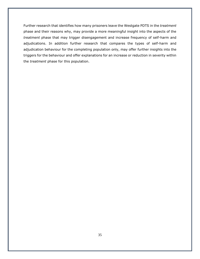Further research that identifies how many prisoners leave the Westgate PDTS in the *treatment* phase and their reasons why, may provide a more meaningful insight into the aspects of the *treatment* phase that may trigger disengagement and increase frequency of self-harm and adjudications. In addition further research that compares the types of self-harm and adjudication behaviour for the completing population only, may offer further insights into the triggers for the behaviour and offer explanations for an increase or reduction in severity within the *treatment* phase for this population.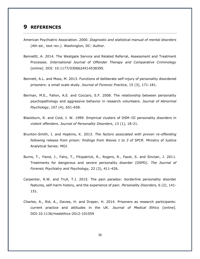#### <span id="page-35-0"></span>**9 REFERENCES**

- American Psychiatric Association. 2000. *Diagnostic and statistical manual of mental disorders* (4th ed., text rev.). Washington, DC: Author.
- Bennettt, A. 2014. The Westgate Service and Related Referral, Assessment and Treatment Processes. *International Journal of Offender Therapy and Comparative Criminology* [online]. DOI: 10.1177/0306624X14538395.
- Bennett, A.L. and Moss, M. 2013. Functions of deliberate self-injury of personality disordered prisoners: a small scale study. *Journal of Forensic Practice,* 15 (3), 171-181.
- Berman, M.E., Fallon, A.E. and Coccaro, E.F. 2008. The relationship between personality psychopathology and aggressive behavior in research volunteers. *Journal of Abnormal Psychology*, 107 (4), 651-658.
- Blackburn, R. and Coid, J. W. 1999. Empirical clusters of DSM–III personality disorders in violent offenders. *Journal of Personality Disorders*, 13 (1), 18-21.
- Brunton-Smith, I. and Hopkins, K. 2013. *The factors associated with proven re-offending following release from prison: findings from Waves 1 to 3 of SPCR.* Ministry of Justice Analytical Series: MOJ.
- Burns, T., Yiend, J., Fahy, T., Fitzpatrick, R., Rogers, R., Fazel, S. and Sinclair, J. 2011. Treatments for dangerous and severe personality disorder (DSPD). *The Journal of Forensic Psychiatry and Psychology,* 22 (3), 411-426.
- Carpenter, R.W. and Trull, T.J. 2015. The pain paradox: borderline personality disorder features, self-harm history, and the experience of pain. *Personality Disorders*, 6 (2), 141- 151.
- Charles, A., Rid, A., Davies, H. and Draper, H. 2014. Prisoners as research participants: current practice and attitudes in the UK. *Journal of Medical Ethics* [online]. DOI:10.1136/medethics-2012-101059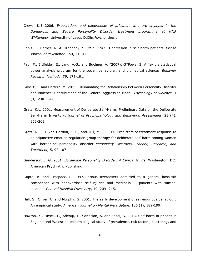- Crews, K.E. 2006. *Expectations and experiences of prisoners who are engaged in the Dangerous and Severe Personality Disorder treatment programme at HMP Whitemoor.* University of Leeds D.Clin.Psychol thesis.
- Ennis, J., Barnes, R. A., Kennedy, S., *et al*. 1989. Depression in self-harm patients. *British Journal of Psychiatry*, 154, 41 -47.
- Faul, F., Erdfelder, E., Lang, A.G., and Buchner, A. (2007). G\*Power 3: A flexible statistical power analysis program for the social, behavioral, and biomedical sciences. *Behavior Research Methods*, *39*, 175-191.
- Gilbert, F. and Daffern, M. 2011. Illuminating the Relationship Between Personality Disorder and Violence: Contributions of the General Aggression Model. *Psychology of Violence*, 1 (3), 230 –244
- Gratz, K.L. 2001. Measurement of Deliberate Self-Harm: Preliminary Data on the Deliberate Self-Harm Inventory. *Journal of Psychopathology and Behavioral Assessment*, 23 (4), 253-263.
- Gratz, K. L., Dixon-Gordon, K. L., and Tull, M. T. 2014. Predictors of treatment response to an adjunctive emotion regulation group therapy for deliberate self-harm among women with borderline personality disorder. *Personality Disorders: Theory, Research, and Treatment,* 5, 97-107
- Gunderson, J. G. 2001. *Borderline Personality Disorder: A Clinical Guide*. Washington, DC: American Psychiatric Publishing.
- Gupta, B. and Trzepacz, P. 1997. Serious overdosers admitted to a general hospital: comparison with nonoverdose self-injuries and medically ill patients with suicidal ideation. *General Hospital Psychiatry*, 19, 209 -215.
- Hall, S., Oliver, C. and Murphy, G. 2001. The early development of self-injurious behaviour: An empirical study. *American Journal on Mental Retardation*, 106 (1), 189-199.
- Hawton, K., Linsell, L., Adeniji, T., Sariaslan, A. and Fazel, S. 2013. Self-harm in prisons in England and Wales: an epidemiological study of prevalence, risk factors, clustering, and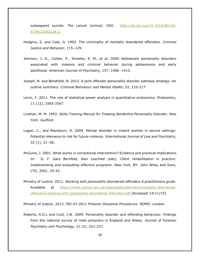subsequent suicide. *The Lancet* [online]*.* DOI: [http://dx.doi.org/10.1016/S0140-](http://dx.doi.org/10.1016/S0140-6736(13)62118-2) [6736\(13\)62118-2.](http://dx.doi.org/10.1016/S0140-6736(13)62118-2)

- Hodgins, S. and Cote, G. 1993. The criminality of mentally disordered offenders. *Criminal Justice and Behavior*, 115–129.
- Johnson, J. G., Cohen, P., Smailes, E. M., *et al*. 2000. Adolescent personality disorders associated with violence and criminal behavior during adolescence and early adulthood. *American Journal of Psychiatry*, 157, 1406 -1412.
- Joseph, N. and Benefield, N. 2012. A joint offender personality disorder pathway strategy: An outline summary. *Criminal Behvaiour and Mental Health*, 22, 210-217
- Levin, Y. 2011. The role of statistical power analysis in quantitative proteomics. *Proteomics*, 11 (12), 2565-2567.
- Linehan, M. M. 1993. *Skills Training Manual for Treating Borderline Personality Disorder*. New York: Guilford
- Logan, C., and Blackburn, R. 2009. Mental disorder in violent women in secure settings: Potential relevance to risk for future violence*. International Journal of Law and Psychiatry*, 32 (1), 31–38.
- McGuire, J. 2001. What works in correctional intervention? Evidence and practical implications. *In*: D. F. Gary Bernfeld, Alan Leschied (eds). *Client rehabilitation in practice: Implementing and evaluating effective programs*. New York, NY: John Wiley and Sons, LTD, 2001, 25-43.
- Ministry of Justice. 2011. *Working with personality disordered offenders A practitioners guide.*  Available at [https://www.justice.gov.uk/downloads/offenders/mentally-disordered](https://www.justice.gov.uk/downloads/offenders/mentally-disordered-offenders/working-with-personality-disordered-offenders.pdf)[offenders/working-with-personality-disordered-offenders.pdf](https://www.justice.gov.uk/downloads/offenders/mentally-disordered-offenders/working-with-personality-disordered-offenders.pdf) [Accessed 14/11/15]

Ministry of Justice. 2013. *PSI-47-2011 Prisoner Discipline Procedures*. NOMS: London.

Roberts, A.D.L and Coid, J.W. 2009. Personality disorder and offending behaviour: findings from the national survey of male prisoners in England and Wales. *Journal of Forensic Psychiatry and Psychology,* 21 (2), 221-237.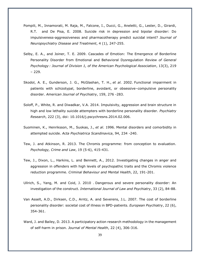- [Pompili,](http://www.ncbi.nlm.nih.gov/pubmed/?term=Pompili%20M%5Bauth%5D) M., [Innamorati,](http://www.ncbi.nlm.nih.gov/pubmed/?term=Innamorati%20M%5Bauth%5D) M. Raja, M., Falcone, I., Ducci, G., Aneletti, G., Lester, D., Girardi, R.T. and De Pisa, E. 2008. Suicide risk in depression and bipolar disorder: Do impulsiveness-aggressiveness and pharmacotherapy predict suicidal intent? *Journal of Neuropsychiatry Disease and Treatment*, 4 (1), 247-255.
- Selby, E. A., and Joiner, T. E. 2009. Cascades of Emotion: The Emergence of Borderline Personality Disorder from Emotional and Behavioral Dysregulation *Review of General Psychology : Journal of Division 1, of the American Psychological Association*, 13(3), 219 – 229.
- Skodol, A. E., Gunderson, J. G., McGlashan, T. H., *et al*. 2002. Functional impairment in patients with schizotypal, borderline, avoidant, or obsessive–compulsive personality disorder. *American Journal of Psychiatry*, 159, 276 -283.
- Soloff, P., White, R. and Diwadkar, V.A. 2014. Impulsivity, aggression and brain structure in high and low lethality suicide attempters with borderline personality disorder. *Psychiatry Research*, 222 (3), doi: 10.1016/j.pscychresns.2014.02.006.
- Suominen, K., Henriksson, M., Suokas, J., *et al*. 1996. Mental disorders and comorbidity in attempted suicide. *Acta Psychiatrica Scandinavica*, 94, 234 -240.
- Tew, J. and Atkinson, R. 2013. The Chromis programme: from conception to evaluation. *Psychology, Crime and Law*, 19 (5-6), 415-431.
- Tew, J., Dixon, L., Harkins, L. and Bennett, A., 2012. Investigating changes in anger and aggression in offenders with high levels of psychopathic traits and the Chromis violence reduction programme. *Criminal Behaviour and Mental Health*, 22, 191-201.
- Ullrich, S., Yang, M. and Coid, J. 2010 . Dangerous and severe personality disorder: An investigation of the construct. *International Journal of Law and Psychiatry*, 33 (2), 84-88.
- Van Asselt, A.D., Dirksen, C.D., Arntz, A. and Severens, J.L. 2007. The cost of borderline personality disorder: societal cost of illness in BPD-patients. *European Psychiatry*, 22 (6), 354-361.
- Ward, J. and Bailey, D. 2013. A participatory action research methodology in the management of self-harm in prison. *Journal of Mental Health*, 22 (4), 306-316.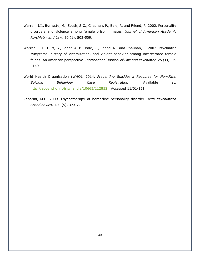- Warren, J.I., Burnette, M., South, S.C., Chauhan, P., Bale, R. and Friend, R. 2002. Personality disorders and violence among female prison inmates. *Journal of American Academic Psychiatry and Law*, 30 (1), 502-509.
- Warren, J. I., Hurt, S., Loper, A. B., Bale, R., Friend, R., and Chauhan, P. 2002. Psychiatric symptoms, history of victimization, and violent behavior among incarcerated female felons: An American perspective. *International Journal of Law and Psychiatry*, 25 (1), 129 –149
- World Health Organisation (WHO). 2014. *Preventing Suicide: a Resource for Non-Fatal Suicidal Behaviour Case Registration*. Available at: <http://apps.who.int/iris/handle/10665/112852> [Accessed 11/01/15]
- Zanarini, M.C. 2009. Psychotherapy of borderline personality disorder. *Acta Psychiatrica Scandinavica*, 120 (5), 373-7.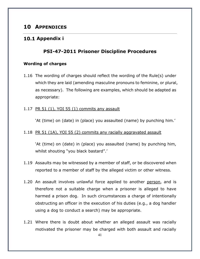## <span id="page-40-0"></span>**10 APPENDICES**

#### <span id="page-40-2"></span><span id="page-40-1"></span>**Appendix i**

#### **PSI-47-2011 Prisoner Discipline Procedures**

#### **Wording of charges**

1.16 The wording of charges should reflect the wording of the Rule(s) under which they are laid (amending masculine pronouns to feminine, or plural, as necessary). The following are examples, which should be adapted as appropriate:

#### 1.17 PR 51 (1), YOI 55 (1) commits any assault

'At (time) on (date) in (place) you assaulted (name) by punching him.'

#### 1.18 PR 51 (1A), YOI 55 (2) commits any racially aggravated assault

'At (time) on (date) in (place) you assaulted (name) by punching him, whilst shouting "you black bastard".'

- 1.19 Assaults may be witnessed by a member of staff, or be discovered when reported to a member of staff by the alleged victim or other witness.
- 1.20 An assault involves unlawful force applied to another person, and is therefore not a suitable charge when a prisoner is alleged to have harmed a prison dog. In such circumstances a charge of intentionally obstructing an officer in the execution of his duties (e.g., a dog handler using a dog to conduct a search) may be appropriate.
- 1.21 Where there is doubt about whether an alleged assault was racially motivated the prisoner may be charged with both assault and racially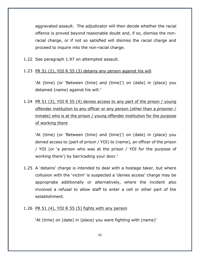aggravated assault. The adjudicator will then decide whether the racial offence is proved beyond reasonable doubt and, if so, dismiss the nonracial charge, or if not so satisfied will dismiss the racial charge and proceed to inquire into the non-racial charge.

- 1.22 See paragraph 1.97 on attempted assault.
- 1.23 PR 51 (2), YOI R 55 (3) detains any person against his will

'At (time) (or 'Between (time) and (time)') on (date) in (place) you detained (name) against his will.'

1.24 PR 51 (3), YOI R 55 (4) denies access to any part of the prison / young offender institution to any officer or any person (other than a prisoner / inmate) who is at the prison / young offender institution for the purpose of working there

'At (time) (or 'Between (time) and (time)') on (date) in (place) you denied access to (part of prison / YOI) to (name), an officer of the prison / YOI (or 'a person who was at the prison / YOI for the purpose of working there') by barricading your door.'

- 1.25 A 'detains' charge is intended to deal with a hostage taker, but where collusion with the 'victim' is suspected a 'denies access' charge may be appropriate additionally or alternatively, where the incident also involved a refusal to allow staff to enter a cell or other part of the establishment.
- 1.26 PR 51 (4), YOI R 55 (5) fights with any person

'At (time) on (date) in (place) you were fighting with (name)'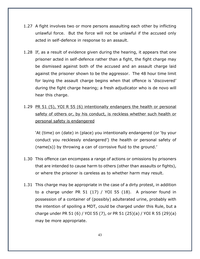- 1.27 A fight involves two or more persons assaulting each other by inflicting unlawful force. But the force will not be unlawful if the accused only acted in self-defence in response to an assault.
- 1.28 If, as a result of evidence given during the hearing, it appears that one prisoner acted in self-defence rather than a fight, the fight charge may be dismissed against both of the accused and an assault charge laid against the prisoner shown to be the aggressor. The 48 hour time limit for laying the assault charge begins when that offence is 'discovered' during the fight charge hearing; a fresh adjudicator who is de novo will hear this charge.
- 1.29 PR 51 (5), YOI R 55 (6) intentionally endangers the health or personal safety of others or, by his conduct, is reckless whether such health or personal safety is endangered

'At (time) on (date) in (place) you intentionally endangered (or 'by your conduct you recklessly endangered') the health or personal safety of (name(s)) by throwing a can of corrosive fluid to the ground.'

- 1.30 This offence can encompass a range of actions or omissions by prisoners that are intended to cause harm to others (other than assaults or fights), or where the prisoner is careless as to whether harm may result.
- 1.31 This charge may be appropriate in the case of a dirty protest, in addition to a charge under PR 51 (17) / YOI 55 (18). A prisoner found in possession of a container of (possibly) adulterated urine, probably with the intention of spoiling a MDT, could be charged under this Rule, but a charge under PR 51 (6) / YOI 55 (7), or PR 51 (25)(a) / YOI R 55 (29)(a) may be more appropriate.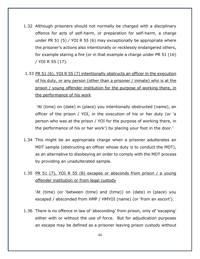- 1.32 Although prisoners should not normally be charged with a disciplinary offence for acts of self-harm, or preparation for self-harm, a charge under PR 51 (5) / YOI R 55 (6) may exceptionally be appropriate where the prisoner's actions also intentionally or recklessly endangered others, for example staring a fire (or in that example a charge under PR 51 (16) / YOI R 55 (17).
- 1.33 PR 51 (6), YOI R 55 (7) intentionally obstructs an officer in the execution of his duty, or any person (other than a prisoner / inmate) who is at the prison / young offender institution for the purpose of working there, in the performance of his work

'At (time) on (date) in (place) you intentionally obstructed (name), an officer of the prison / YOI, in the execution of his or her duty (or 'a person who was at the prison / YOI for the purpose of working there, in the performance of his or her work') by placing your foot in the door.'

- 1.34 This might be an appropriate charge when a prisoner adulterates an MDT sample (obstructing an officer whose duty is to conduct the MDT), as an alternative to disobeying an order to comply with the MDT process by providing an unadulterated sample.
- 1.35 PR 51 (7), YOI R 55 (8) escapes or absconds from prison / a young offender institution or from legal custody

'At (time) (or 'between (time) and (time)) on (date) in (place) you escaped / absconded from HMP / HMYOI (name) (or 'from an escort').

1.36 There is no offence in law of 'absconding' from prison, only of 'escaping' either with or without the use of force. But for adjudication purposes an escape may be defined as a prisoner leaving prison custody without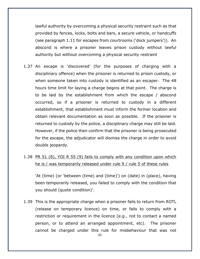lawful authority by overcoming a physical security restraint such as that provided by fences, locks, bolts and bars, a secure vehicle, or handcuffs (see paragraph 1.11 for escapes from courtrooms ('dock jumpers')). An abscond is where a prisoner leaves prison custody without lawful authority but without overcoming a physical security restraint

1.37 An escape is 'discovered' (for the purposes of charging with a disciplinary offence) when the prisoner is returned to prison custody, or when someone taken into custody is identified as an escaper. The 48 hours time limit for laying a charge begins at that point. The charge is to be laid by the establishment from which the escape / abscond occurred, so if a prisoner is returned to custody in a different establishment, that establishment must inform the former location and obtain relevant documentation as soon as possible. If the prisoner is returned to custody by the police, a disciplinary charge may still be laid. However, if the police then confirm that the prisoner is being prosecuted for the escape, the adjudicator will dismiss the charge in order to avoid double jeopardy.

## 1.38 PR 51 (8), YOI R 55 (9) fails to comply with any condition upon which he is / was temporarily released under rule 9 / rule 5 of these rules

'At (time) (or 'between (time) and (time)') on (date) in (place), having been temporarily released, you failed to comply with the condition that you should (quote condition)'.

1.39 This is the appropriate charge when a prisoner fails to return from ROTL (release on temporary licence) on time, or fails to comply with a restriction or requirement in the licence (e.g., not to contact a named person, or to attend an arranged appointment, etc). The prisoner cannot be charged under this rule for misbehaviour that was not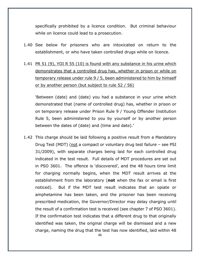specifically prohibited by a licence condition. But criminal behaviour while on licence could lead to a prosecution.

- 1.40 See below for prisoners who are intoxicated on return to the establishment, or who have taken controlled drugs while on licence.
- 1.41 PR 51 (9), YOI R 55 (10) is found with any substance in his urine which demonstrates that a controlled drug has, whether in prison or while on temporary release under rule 9 / 5, been administered to him by himself or by another person (but subject to rule 52 / 56)

'Between (date) and (date) you had a substance in your urine which demonstrated that (name of controlled drug) has, whether in prison or on temporary release under Prison Rule 9 / Young Offender Institution Rule 5, been administered to you by yourself or by another person between the dates of (date) and (time and date).'

1.42 This charge should be laid following a positive result from a Mandatory Drug Test (MDT) (not a compact or voluntary drug test failure – see PSI 31/2009), with separate charges being laid for each controlled drug indicated in the test result. Full details of MDT procedures are set out in PSO 3601. The offence is 'discovered', and the 48 hours time limit for charging normally begins, when the MDT result arrives at the establishment from the laboratory (**not** when the fax or email is first noticed). But if the MDT test result indicates that an opiate or amphetamine has been taken, and the prisoner has been receiving prescribed medication, the Governor/Director may delay charging until the result of a confirmation test is received (see chapter 7 of PSO 3601). If the confirmation test indicates that a different drug to that originally identified was taken, the original charge will be dismissed and a new charge, naming the drug that the test has now identified, laid within 48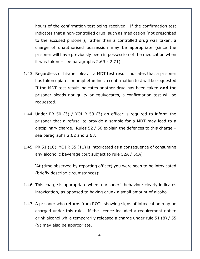hours of the confirmation test being received. If the confirmation test indicates that a non-controlled drug, such as medication (not prescribed to the accused prisoner), rather than a controlled drug was taken, a charge of unauthorised possession may be appropriate (since the prisoner will have previously been in possession of the medication when it was taken – see paragraphs 2.69 - 2.71).

- 1.43 Regardless of his/her plea, if a MDT test result indicates that a prisoner has taken opiates or amphetamines a confirmation test will be requested. If the MDT test result indicates another drug has been taken **and** the prisoner pleads not guilty or equivocates, a confirmation test will be requested.
- 1.44 Under PR 50 (3) / YOI R 53 (3) an officer is required to inform the prisoner that a refusal to provide a sample for a MDT may lead to a disciplinary charge. Rules 52 / 56 explain the defences to this charge – see paragraphs 2.62 and 2.63.
- 1.45 PR 51 (10), YOI R 55 (11) is intoxicated as a consequence of consuming any alcoholic beverage (but subject to rule 52A / 56A)

'At (time observed by reporting officer) you were seen to be intoxicated (briefly describe circumstances)'

- 1.46 This charge is appropriate when a prisoner's behaviour clearly indicates intoxication, as opposed to having drunk a small amount of alcohol.
- 1.47 A prisoner who returns from ROTL showing signs of intoxication may be charged under this rule. If the licence included a requirement not to drink alcohol while temporarily released a charge under rule 51 (8) / 55 (9) may also be appropriate.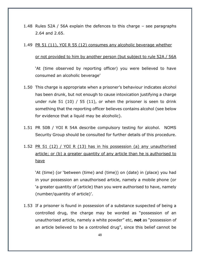1.48 Rules 52A / 56A explain the defences to this charge – see paragraphs 2.64 and 2.65.

#### 1.49 PR 51 (11), YOI R 55 (12) consumes any alcoholic beverage whether

#### or not provided to him by another person (but subject to rule 52A / 56A

'At (time observed by reporting officer) you were believed to have consumed an alcoholic beverage'

- 1.50 This charge is appropriate when a prisoner's behaviour indicates alcohol has been drunk, but not enough to cause intoxication justifying a charge under rule 51 (10) / 55 (11), or when the prisoner is seen to drink something that the reporting officer believes contains alcohol (see below for evidence that a liquid may be alcoholic).
- 1.51 PR 50B / YOI R 54A describe compulsory testing for alcohol. NOMS Security Group should be consulted for further details of this procedure.

# 1.52 PR 51 (12) / YOI R (13) has in his possession (a) any unauthorised article; or (b) a greater quantity of any article than he is authorised to have

'At (time) (or 'between (time) and (time)) on (date) in (place) you had in your possession an unauthorised article, namely a mobile phone (or 'a greater quantity of (article) than you were authorised to have, namely (number/quantity of article)'.

1.53 If a prisoner is found in possession of a substance suspected of being a controlled drug, the charge may be worded as "possession of an unauthorised article, namely a white powder" etc, **not** as "possession of an article believed to be a controlled drug", since this belief cannot be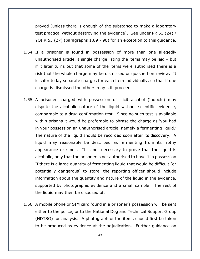proved (unless there is enough of the substance to make a laboratory test practical without destroying the evidence). See under PR 51 (24) / YOI R 55 (27) (paragraphs 1.89 - 90) for an exception to this guidance.

- 1.54 If a prisoner is found in possession of more than one allegedly unauthorised article, a single charge listing the items may be laid – but if it later turns out that some of the items were authorised there is a risk that the whole charge may be dismissed or quashed on review. It is safer to lay separate charges for each item individually, so that if one charge is dismissed the others may still proceed.
- 1.55 A prisoner charged with possession of illicit alcohol ('hooch') may dispute the alcoholic nature of the liquid without scientific evidence, comparable to a drug confirmation test. Since no such test is available within prisons it would be preferable to phrase the charge as 'you had in your possession an unauthorised article, namely a fermenting liquid.' The nature of the liquid should be recorded soon after its discovery. A liquid may reasonably be described as fermenting from its frothy appearance or smell. It is not necessary to prove that the liquid is alcoholic, only that the prisoner is not authorised to have it in possession. If there is a large quantity of fermenting liquid that would be difficult (or potentially dangerous) to store, the reporting officer should include information about the quantity and nature of the liquid in the evidence, supported by photographic evidence and a small sample. The rest of the liquid may then be disposed of.
- 1.56 A mobile phone or SIM card found in a prisoner's possession will be sent either to the police, or to the National Dog and Technical Support Group (NDTSG) for analysis. A photograph of the items should first be taken to be produced as evidence at the adjudication. Further guidance on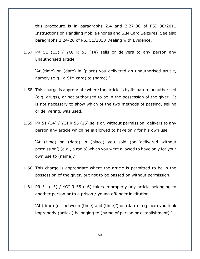this procedure is in paragraphs 2.4 and 2.27-30 of PSI 30/2011 Instructions on Handling Mobile Phones and SIM Card Seizures. See also paragraphs 2.24-26 of PSI 51/2010 Dealing with Evidence.

## 1.57 PR 51 (13) / YOI R 55 (14) sells or delivers to any person any unauthorised article

'At (time) on (date) in (place) you delivered an unauthorised article, namely (e.g., a SIM card) to (name).'

1.58 This charge is appropriate where the article is by its nature unauthorised (e.g. drugs), or not authorised to be in the possession of the giver. It is not necessary to show which of the two methods of passing, selling or delivering, was used.

## 1.59 PR 51 (14) / YOI R 55 (15) sells or, without permission, delivers to any person any article which he is allowed to have only for his own use

'At (time) on (date) in (place) you sold (or 'delivered without permission') (e.g., a radio) which you were allowed to have only for your own use to (name).'

1.60 This charge is appropriate where the article is permitted to be in the possession of the giver, but not to be passed on without permission.

## 1.61 PR 51 (15) / YOI R 55 (16) takes improperly any article belonging to another person or to a prison / young offender institution

'At (time) (or 'between (time) and (time)') on (date) in (place) you took improperly (article) belonging to (name of person or establishment).'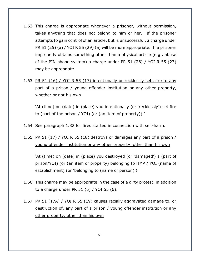- 1.62 This charge is appropriate whenever a prisoner, without permission, takes anything that does not belong to him or her. If the prisoner attempts to gain control of an article, but is unsuccessful, a charge under PR 51 (25) (a) / YOI R 55 (29) (a) will be more appropriate. If a prisoner improperly obtains something other than a physical article (e.g., abuse of the PIN phone system) a charge under PR 51 (26) / YOI R 55 (23) may be appropriate.
- 1.63 PR 51 (16) / YOI R 55 (17) intentionally or recklessly sets fire to any part of a prison / young offender institution or any other property, whether or not his own

'At (time) on (date) in (place) you intentionally (or 'recklessly') set fire to (part of the prison / YOI) (or (an item of property)).'

- 1.64 See paragraph 1.32 for fires started in connection with self-harm.
- 1.65 PR 51 (17) / YOI R 55 (18) destroys or damages any part of a prison  $/$ young offender institution or any other property, other than his own

'At (time) on (date) in (place) you destroyed (or 'damaged') a (part of prison/YOI) (or (an item of property) belonging to HMP / YOI (name of establishment) (or 'belonging to (name of person)')

- 1.66 This charge may be appropriate in the case of a dirty protest, in addition to a charge under PR 51 (5) / YOI 55 (6).
- 1.67 PR 51 (17A) / YOI R 55 (19) causes racially aggravated damage to, or destruction of, any part of a prison / young offender institution or any other property, other than his own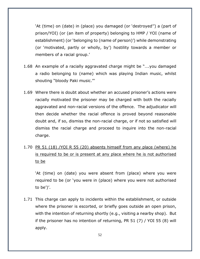'At (time) on (date) in (place) you damaged (or 'destroyed'') a (part of prison/YOI) (or (an item of property) belonging to HMP / YOI (name of establishment) (or 'belonging to (name of person)') while demonstrating (or 'motivated, partly or wholly, by') hostility towards a member or members of a racial group.'

- 1.68 An example of a racially aggravated charge might be "….you damaged a radio belonging to (name) which was playing Indian music, whilst shouting "bloody Paki music."'
- 1.69 Where there is doubt about whether an accused prisoner's actions were racially motivated the prisoner may be charged with both the racially aggravated and non-racial versions of the offence. The adjudicator will then decide whether the racial offence is proved beyond reasonable doubt and, if so, dismiss the non-racial charge, or if not so satisfied will dismiss the racial charge and proceed to inquire into the non-racial charge.
- 1.70 PR 51 (18) /YOI R 55 (20) absents himself from any place (where) he is required to be or is present at any place where he is not authorised to be

'At (time) on (date) you were absent from (place) where you were required to be (or 'you were in (place) where you were not authorised to be')'.

1.71 This charge can apply to incidents within the establishment, or outside where the prisoner is escorted, or briefly goes outside an open prison, with the intention of returning shortly (e.g., visiting a nearby shop). But if the prisoner has no intention of returning, PR 51 (7) / YOI 55 (8) will apply.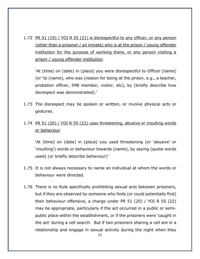1.72 PR 51 (19) / YOI R 55 (21) is disrespectful to any officer, or any person (other than a prisoner / an inmate) who is at the prison / young offender institution for the purpose of working there, or any person visiting a prison / young offender institution

'At (time) on (date) in (place) you were disrespectful to Officer (name) (or 'to (name), who was (reason for being at the prison, e.g., a teacher, probation officer, IMB member, visitor, etc), by (briefly describe how disrespect was demonstrated).'

- 1.73 The disrespect may be spoken or written, or involve physical acts or gestures.
- 1.74 PR 51 (20) / YOI R 55 (22) uses threatening, abusive or insulting words or behaviour

'At (time) on (date) in (place) you used threatening (or 'abusive' or 'insulting') words or behaviour towards (name), by saying (quote words used) (or briefly describe behaviour)'

- 1.75 It is not always necessary to name an individual at whom the words or behaviour were directed.
- 1.76 There is no Rule specifically prohibiting sexual acts between prisoners, but if they are observed by someone who finds (or could potentially find) their behaviour offensive, a charge under PR 51 (20) / YOI R 55 (22) may be appropriate, particularly if the act occurred in a public or semipublic place within the establishment, or if the prisoners were 'caught in the act' during a cell search. But if two prisoners sharing a cell are in a relationship and engage in sexual activity during the night when they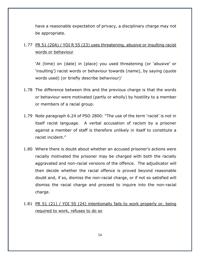have a reasonable expectation of privacy, a disciplinary charge may not be appropriate.

## 1.77 PR 51 (20A) / YOI R 55 (23) uses threatening, abusive or insulting racist words or behaviour

'At (time) on (date) in (place) you used threatening (or 'abusive' or 'insulting') racist words or behaviour towards (name), by saying (quote words used) (or briefly describe behaviour)'

- 1.78 The difference between this and the previous charge is that the words or behaviour were motivated (partly or wholly) by hostility to a member or members of a racial group.
- 1.79 Note paragraph 6.24 of PSO 2800: "The use of the term 'racist' is not in itself racist language. A verbal accusation of racism by a prisoner against a member of staff is therefore unlikely in itself to constitute a racist incident."
- 1.80 Where there is doubt about whether an accused prisoner's actions were racially motivated the prisoner may be charged with both the racially aggravated and non-racial versions of the offence. The adjudicator will then decide whether the racial offence is proved beyond reasonable doubt and, if so, dismiss the non-racial charge, or if not so satisfied will dismiss the racial charge and proceed to inquire into the non-racial charge.
- 1.81 PR 51 (21) / YOI 55 (24) intentionally fails to work properly or, being required to work, refuses to do so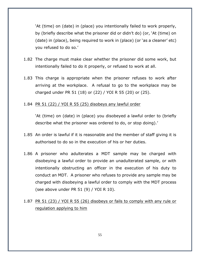'At (time) on (date) in (place) you intentionally failed to work properly, by (briefly describe what the prisoner did or didn't do) (or, 'At (time) on (date) in (place), being required to work in (place) (or 'as a cleaner' etc) you refused to do so.'

- 1.82 The charge must make clear whether the prisoner did some work, but intentionally failed to do it properly, or refused to work at all.
- 1.83 This charge is appropriate when the prisoner refuses to work after arriving at the workplace. A refusal to go to the workplace may be charged under PR 51 (18) or (22) / YOI R 55 (20) or (25).

#### 1.84 PR 51 (22) / YOI R 55 (25) disobeys any lawful order

'At (time) on (date) in (place) you disobeyed a lawful order to (briefly describe what the prisoner was ordered to do, or stop doing).'

- 1.85 An order is lawful if it is reasonable and the member of staff giving it is authorised to do so in the execution of his or her duties.
- 1.86 A prisoner who adulterates a MDT sample may be charged with disobeying a lawful order to provide an unadulterated sample, or with intentionally obstructing an officer in the execution of his duty to conduct an MDT. A prisoner who refuses to provide any sample may be charged with disobeying a lawful order to comply with the MDT process (see above under PR 51 (9) / YOI R 10).

## 1.87 PR 51 (23) / YOI R 55 (26) disobeys or fails to comply with any rule or regulation applying to him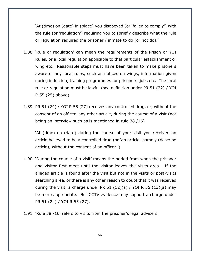'At (time) on (date) in (place) you disobeyed (or 'failed to comply') with the rule (or 'regulation') requiring you to (briefly describe what the rule or regulation required the prisoner / inmate to do (or not do).'

- 1.88 'Rule or regulation' can mean the requirements of the Prison or YOI Rules, or a local regulation applicable to that particular establishment or wing etc. Reasonable steps must have been taken to make prisoners aware of any local rules, such as notices on wings, information given during induction, training programmes for prisoners' jobs etc. The local rule or regulation must be lawful (see definition under PR 51 (22) / YOI R 55 (25) above).
- 1.89 PR 51 (24) / YOI R 55 (27) receives any controlled drug, or, without the consent of an officer, any other article, during the course of a visit (not being an interview such as is mentioned in rule 38 /16)

'At (time) on (date) during the course of your visit you received an article believed to be a controlled drug (or 'an article, namely (describe article), without the consent of an officer.')

- 1.90 'During the course of a visit' means the period from when the prisoner and visitor first meet until the visitor leaves the visits area. If the alleged article is found after the visit but not in the visits or post-visits searching area, or there is any other reason to doubt that it was received during the visit, a charge under PR 51  $(12)(a)$  / YOI R 55  $(13)(a)$  may be more appropriate. But CCTV evidence may support a charge under PR 51 (24) / YOI R 55 (27).
- 1.91 'Rule 38 /16' refers to visits from the prisoner's legal advisers.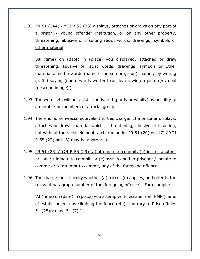1.92 PR 51 (24A) / YOI R 55 (28) displays, attaches or draws on any part of a prison / young offender institution, or on any other property, threatening, abusive or insulting racist words, drawings, symbols or other material

'At (time) on (date) in (place) you displayed, attached or drew threatening, abusive or racist words, drawings, symbols or other material aimed towards (name of person or group), namely by writing graffiti saying (quote words written) (or 'by drawing a picture/symbol (describe image)').

- 1.93 The words etc will be racist if motivated (partly or wholly) by hostility to a member or members of a racial group.
- 1.94 There is no non-racial equivalent to this charge. If a prisoner displays, attaches or draws material which is threatening, abusive or insulting, but without the racial element, a charge under PR 51 (20) or (17) / YOI R 55 (22) or (18) may be appropriate.
- 1.95 PR 51 (25) / YOI R 55 (29) (a) attempts to commit, (b) incites another prisoner / inmate to commit, or (c) assists another prisoner / inmate to commit or to attempt to commit, any of the foregoing offences
- 1.96 The charge must specify whether (a), (b) or (c) applies, and refer to the relevant paragraph number of the 'foregoing offence'. For example:

'At (time) on (date) in (place) you attempted to escape from HMP (name of establishment) by climbing the fence (etc), contrary to Prison Rules 51 (25)(a) and 51 (7).'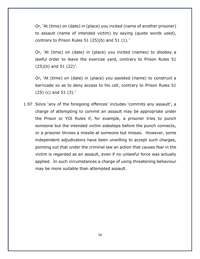Or, 'At (time) on (date) in (place) you incited (name of another prisoner) to assault (name of intended victim) by saying (quote words used), contrary to Prison Rules 51 (25)(b) and 51 (1).'

Or, 'At (time) on (date) in (place) you incited (names) to disobey a lawful order to leave the exercise yard, contrary to Prison Rules 51 (25)(b) and 51 (22)'.

Or, 'At (time) on (date) in (place) you assisted (name) to construct a barricade so as to deny access to his cell, contrary to Prison Rules 51 (25) (c) and 51 (3).'

1.97 Since 'any of the foregoing offences' includes 'commits any assault', a charge of attempting to commit an assault may be appropriate under the Prison or YOI Rules if, for example, a prisoner tries to punch someone but the intended victim sidesteps before the punch connects, or a prisoner throws a missile at someone but misses. However, some independent adjudicators have been unwilling to accept such charges, pointing out that under the criminal law an action that causes fear in the victim is regarded as an assault, even if no unlawful force was actually applied. In such circumstances a charge of using threatening behaviour may be more suitable than attempted assault.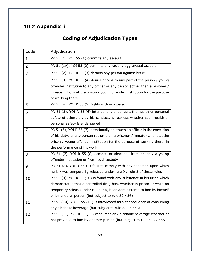# <span id="page-58-1"></span><span id="page-58-0"></span>10.2 Appendix ii

# **Coding of Adjudication Types**

| Code        | Adjudication                                                                |
|-------------|-----------------------------------------------------------------------------|
| $\mathbf 1$ | PR 51 (1), YOI 55 (1) commits any assault                                   |
| 2           | PR 51 (1A), YOI 55 (2) commits any racially aggravated assault              |
| 3           | PR 51 (2), YOI R 55 (3) detains any person against his will                 |
| 4           | PR 51 (3), YOI R 55 (4) denies access to any part of the prison / young     |
|             | offender institution to any officer or any person (other than a prisoner /  |
|             | inmate) who is at the prison / young offender institution for the purpose   |
|             | of working there                                                            |
| 5           | PR 51 (4), YOI R 55 (5) fights with any person                              |
| 6           | PR 51 (5), YOI R 55 (6) intentionally endangers the health or personal      |
|             | safety of others or, by his conduct, is reckless whether such health or     |
|             | personal safety is endangered                                               |
| 7           | PR 51 (6), YOI R 55 (7) intentionally obstructs an officer in the execution |
|             | of his duty, or any person (other than a prisoner / inmate) who is at the   |
|             | prison / young offender institution for the purpose of working there, in    |
|             | the performance of his work                                                 |
| 8           | PR 51 (7), YOI R 55 (8) escapes or absconds from prison / a young           |
|             | offender institution or from legal custody                                  |
| 9           | PR 51 (8), YOI R 55 (9) fails to comply with any condition upon which       |
|             | he is / was temporarily released under rule 9 / rule 5 of these rules       |
| 10          | PR 51 (9), YOI R 55 (10) is found with any substance in his urine which     |
|             | demonstrates that a controlled drug has, whether in prison or while on      |
|             | temporary release under rule 9 / 5, been administered to him by himself     |
|             | or by another person (but subject to rule 52 / 56)                          |
| 11          | PR 51 (10), YOI R 55 (11) is intoxicated as a consequence of consuming      |
|             | any alcoholic beverage (but subject to rule 52A / 56A)                      |
| 12          | PR 51 (11), YOI R 55 (12) consumes any alcoholic beverage whether or        |
|             | not provided to him by another person (but subject to rule 52A / 56A        |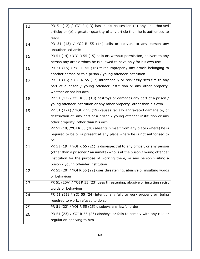| 13 | PR 51 (12) / YOI R (13) has in his possession (a) any unauthorised         |
|----|----------------------------------------------------------------------------|
|    | article; or (b) a greater quantity of any article than he is authorised to |
|    | have                                                                       |
| 14 | PR 51 (13) / YOI R 55 (14) sells or delivers to any person any             |
|    | unauthorised article                                                       |
| 15 | PR 51 (14) / YOI R 55 (15) sells or, without permission, delivers to any   |
|    | person any article which he is allowed to have only for his own use        |
| 16 | PR 51 (15) / YOI R 55 (16) takes improperly any article belonging to       |
|    | another person or to a prison / young offender institution                 |
| 17 | PR 51 (16) / YOI R 55 (17) intentionally or recklessly sets fire to any    |
|    | part of a prison / young offender institution or any other property,       |
|    | whether or not his own                                                     |
| 18 | PR 51 (17) / YOI R 55 (18) destroys or damages any part of a prison /      |
|    | young offender institution or any other property, other than his own       |
| 19 | PR 51 (17A) / YOI R 55 (19) causes racially aggravated damage to, or       |
|    | destruction of, any part of a prison / young offender institution or any   |
|    | other property, other than his own                                         |
| 20 | PR 51 (18) /YOI R 55 (20) absents himself from any place (where) he is     |
|    | required to be or is present at any place where he is not authorised to    |
|    | be                                                                         |
| 21 | PR 51 (19) / YOI R 55 (21) is disrespectful to any officer, or any person  |
|    | (other than a prisoner / an inmate) who is at the prison / young offender  |
|    | institution for the purpose of working there, or any person visiting a     |
|    | prison / young offender institution                                        |
| 22 | PR 51 (20) / YOI R 55 (22) uses threatening, abusive or insulting words    |
|    | or behaviour                                                               |
| 23 | PR 51 (20A) / YOI R 55 (23) uses threatening, abusive or insulting racist  |
|    | words or behaviour                                                         |
| 24 | PR 51 (21) / YOI 55 (24) intentionally fails to work properly or, being    |
|    | required to work, refuses to do so                                         |
| 25 | PR 51 (22) / YOI R 55 (25) disobeys any lawful order                       |
| 26 | PR 51 (23) / YOI R 55 (26) disobeys or fails to comply with any rule or    |
|    | regulation applying to him                                                 |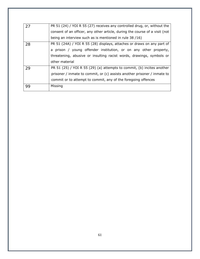| 27 | PR 51 (24) / YOI R 55 (27) receives any controlled drug, or, without the    |
|----|-----------------------------------------------------------------------------|
|    | consent of an officer, any other article, during the course of a visit (not |
|    | being an interview such as is mentioned in rule 38 /16)                     |
| 28 | PR 51 (24A) / YOI R 55 (28) displays, attaches or draws on any part of      |
|    | a prison / young offender institution, or on any other property,            |
|    | threatening, abusive or insulting racist words, drawings, symbols or        |
|    | other material                                                              |
| 29 | PR 51 (25) / YOI R 55 (29) (a) attempts to commit, (b) incites another      |
|    | prisoner / inmate to commit, or (c) assists another prisoner / inmate to    |
|    | commit or to attempt to commit, any of the foregoing offences               |
| 99 | Missing                                                                     |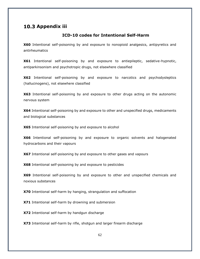#### <span id="page-61-1"></span><span id="page-61-0"></span>10.3 Appendix iii

#### **ICD-10 codes for Intentional Self-Harm**

**X60** Intentional self-poisoning by and exposure to nonopioid analgesics, antipyretics and antirheumatics

**X61** Intentional self-poisoning by and exposure to antiepileptic, sedative-hypnotic, antiparkinsonism and psychotropic drugs, not elsewhere classified

**X62** Intentional self-poisoning by and exposure to narcotics and psychodysleptics (hallucinogens), not elsewhere classified

**X63** Intentional self-poisoning by and exposure to other drugs acting on the autonomic nervous system

**X64** Intentional self-poisoning by and exposure to other and unspecified drugs, medicaments and biological substances

**X65** Intentional self-poisoning by and exposure to alcohol

**X66** Intentional self-poisoning by and exposure to organic solvents and halogenated hydrocarbons and their vapours

**X67** Intentional self-poisoning by and exposure to other gases and vapours

**X68** Intentional self-poisoning by and exposure to pesticides

**X69** Intentional self-poisoning by and exposure to other and unspecified chemicals and noxious substances

**X70** Intentional self-harm by hanging, strangulation and suffocation

**X71** Intentional self-harm by drowning and submersion

**X72** Intentional self-harm by handgun discharge

**X73** Intentional self-harm by rifle, shotgun and larger firearm discharge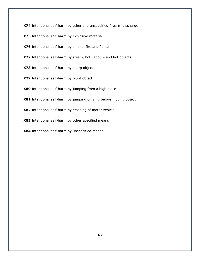**X74** Intentional self-harm by other and unspecified firearm discharge

**X75** Intentional self-harm by explosive material

**X76** Intentional self-harm by smoke, fire and flame

**X77** Intentional self-harm by steam, hot vapours and hot objects

**X78** Intentional self-harm by sharp object

**X79** Intentional self-harm by blunt object

**X80** Intentional self-harm by jumping from a high place

**X81** Intentional self-harm by jumping or lying before moving object

**X82** Intentional self-harm by crashing of motor vehicle

**X83** Intentional self-harm by other specified means

**X84** Intentional self-harm by unspecified means